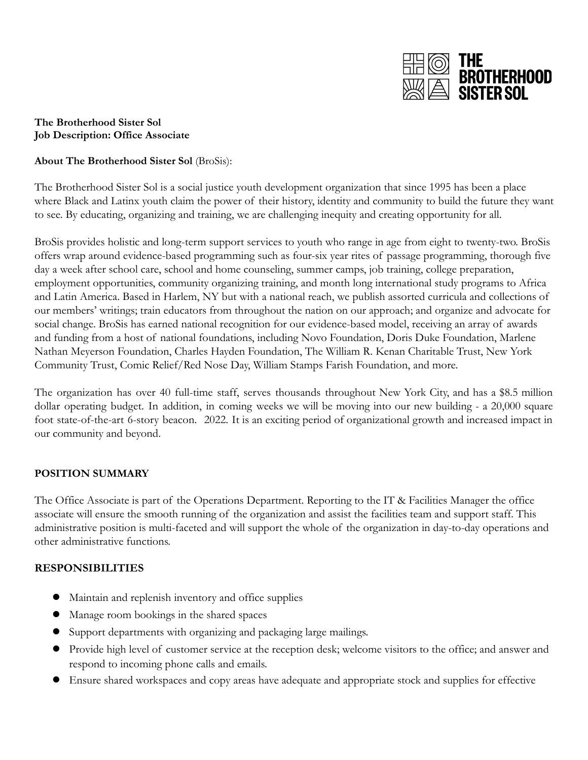

### **The Brotherhood Sister Sol Job Description: Office Associate**

## **About The Brotherhood Sister Sol** (BroSis):

The Brotherhood Sister Sol is a social justice youth development organization that since 1995 has been a place where Black and Latinx youth claim the power of their history, identity and community to build the future they want to see. By educating, organizing and training, we are challenging inequity and creating opportunity for all.

BroSis provides holistic and long-term support services to youth who range in age from eight to twenty-two. BroSis offers wrap around evidence-based programming such as four-six year rites of passage programming, thorough five day a week after school care, school and home counseling, summer camps, job training, college preparation, employment opportunities, community organizing training, and month long international study programs to Africa and Latin America. Based in Harlem, NY but with a national reach, we publish assorted curricula and collections of our members' writings; train educators from throughout the nation on our approach; and organize and advocate for social change. BroSis has earned national recognition for our evidence-based model, receiving an array of awards and funding from a host of national foundations, including Novo Foundation, Doris Duke Foundation, Marlene Nathan Meyerson Foundation, Charles Hayden Foundation, The William R. Kenan Charitable Trust, New York Community Trust, Comic Relief/Red Nose Day, William Stamps Farish Foundation, and more.

The organization has over 40 full-time staff, serves thousands throughout New York City, and has a \$8.5 million dollar operating budget. In addition, in coming weeks we will be moving into our new building - a 20,000 square foot state-of-the-art 6-story beacon. 2022. It is an exciting period of organizational growth and increased impact in our community and beyond.

### **POSITION SUMMARY**

The Office Associate is part of the Operations Department. Reporting to the IT & Facilities Manager the office associate will ensure the smooth running of the organization and assist the facilities team and support staff. This administrative position is multi-faceted and will support the whole of the organization in day-to-day operations and other administrative functions.

### **RESPONSIBILITIES**

- Maintain and replenish inventory and office supplies
- Manage room bookings in the shared spaces
- Support departments with organizing and packaging large mailings.
- Provide high level of customer service at the reception desk; welcome visitors to the office; and answer and respond to incoming phone calls and emails.
- Ensure shared workspaces and copy areas have adequate and appropriate stock and supplies for effective